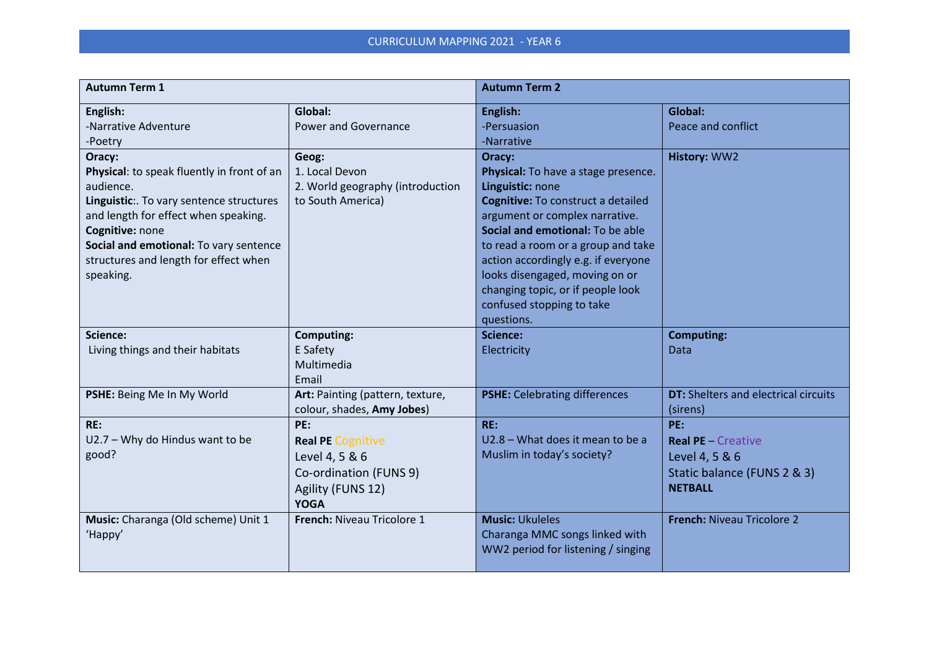| <b>Autumn Term 1</b>                                                                                                                                                                                                                                                     |                                                                                                                 | <b>Autumn Term 2</b>                                                                                                                                                                                                                                                                                                                                                                |                                                                                                     |  |
|--------------------------------------------------------------------------------------------------------------------------------------------------------------------------------------------------------------------------------------------------------------------------|-----------------------------------------------------------------------------------------------------------------|-------------------------------------------------------------------------------------------------------------------------------------------------------------------------------------------------------------------------------------------------------------------------------------------------------------------------------------------------------------------------------------|-----------------------------------------------------------------------------------------------------|--|
| English:<br>-Narrative Adventure<br>-Poetry                                                                                                                                                                                                                              | Global:<br>Power and Governance                                                                                 | English:<br>-Persuasion<br>-Narrative                                                                                                                                                                                                                                                                                                                                               | Global:<br>Peace and conflict                                                                       |  |
| Oracy:<br>Physical: to speak fluently in front of an<br>audience.<br>Linguistic:. To vary sentence structures<br>and length for effect when speaking.<br>Cognitive: none<br>Social and emotional: To vary sentence<br>structures and length for effect when<br>speaking. | Geog:<br>1. Local Devon<br>2. World geography (introduction<br>to South America)                                | Oracy:<br>Physical: To have a stage presence.<br>Linguistic: none<br><b>Cognitive:</b> To construct a detailed<br>argument or complex narrative.<br>Social and emotional: To be able<br>to read a room or a group and take<br>action accordingly e.g. if everyone<br>looks disengaged, moving on or<br>changing topic, or if people look<br>confused stopping to take<br>questions. | History: WW2                                                                                        |  |
| Science:<br>Living things and their habitats                                                                                                                                                                                                                             | <b>Computing:</b><br>E Safety<br>Multimedia<br>Email                                                            | <b>Science:</b><br>Electricity                                                                                                                                                                                                                                                                                                                                                      | <b>Computing:</b><br>Data                                                                           |  |
| PSHE: Being Me In My World                                                                                                                                                                                                                                               | Art: Painting (pattern, texture,<br>colour, shades, Amy Jobes)                                                  | <b>PSHE:</b> Celebrating differences                                                                                                                                                                                                                                                                                                                                                | <b>DT:</b> Shelters and electrical circuits<br>(sirens)                                             |  |
| RE:<br>U2.7 - Why do Hindus want to be<br>good?                                                                                                                                                                                                                          | PE:<br><b>Real PE Cognitive</b><br>Level 4, 5 & 6<br>Co-ordination (FUNS 9)<br>Agility (FUNS 12)<br><b>YOGA</b> | RE:<br>U2.8 - What does it mean to be a<br>Muslim in today's society?                                                                                                                                                                                                                                                                                                               | PE:<br><b>Real PE - Creative</b><br>Level 4, 5 & 6<br>Static balance (FUNS 2 & 3)<br><b>NETBALL</b> |  |
| Music: Charanga (Old scheme) Unit 1<br>'Happy'                                                                                                                                                                                                                           | French: Niveau Tricolore 1                                                                                      | <b>Music: Ukuleles</b><br>Charanga MMC songs linked with<br>WW2 period for listening / singing                                                                                                                                                                                                                                                                                      | <b>French: Niveau Tricolore 2</b>                                                                   |  |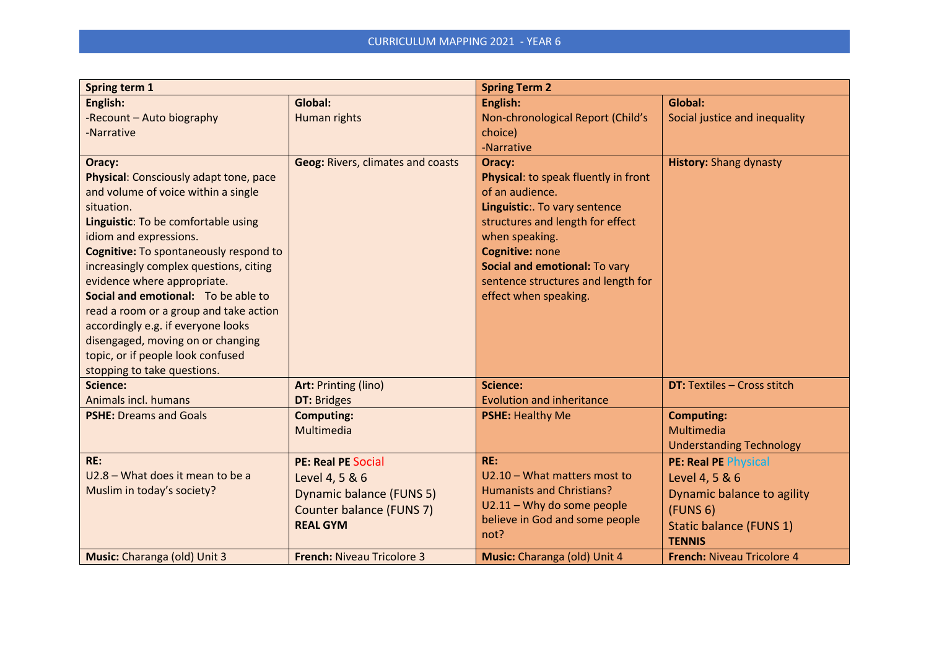| Spring term 1                                                                                                                                                                                                                                                                                                                                                                                                                                                                                                                    |                                                                                                                        | <b>Spring Term 2</b>                                                                                                                                                                                                                                                        |                                                                                                                                                        |  |
|----------------------------------------------------------------------------------------------------------------------------------------------------------------------------------------------------------------------------------------------------------------------------------------------------------------------------------------------------------------------------------------------------------------------------------------------------------------------------------------------------------------------------------|------------------------------------------------------------------------------------------------------------------------|-----------------------------------------------------------------------------------------------------------------------------------------------------------------------------------------------------------------------------------------------------------------------------|--------------------------------------------------------------------------------------------------------------------------------------------------------|--|
| English:<br>-Recount - Auto biography<br>-Narrative                                                                                                                                                                                                                                                                                                                                                                                                                                                                              | Global:<br>Human rights                                                                                                | English:<br>Non-chronological Report (Child's<br>choice)<br>-Narrative                                                                                                                                                                                                      | Global:<br>Social justice and inequality                                                                                                               |  |
| Oracy:<br>Physical: Consciously adapt tone, pace<br>and volume of voice within a single<br>situation.<br>Linguistic: To be comfortable using<br>idiom and expressions.<br><b>Cognitive: To spontaneously respond to</b><br>increasingly complex questions, citing<br>evidence where appropriate.<br>Social and emotional: To be able to<br>read a room or a group and take action<br>accordingly e.g. if everyone looks<br>disengaged, moving on or changing<br>topic, or if people look confused<br>stopping to take questions. | <b>Geog: Rivers, climates and coasts</b>                                                                               | Oracy:<br>Physical: to speak fluently in front<br>of an audience.<br>Linguistic:. To vary sentence<br>structures and length for effect<br>when speaking.<br>Cognitive: none<br>Social and emotional: To vary<br>sentence structures and length for<br>effect when speaking. | <b>History: Shang dynasty</b>                                                                                                                          |  |
| <b>Science:</b><br>Animals incl. humans                                                                                                                                                                                                                                                                                                                                                                                                                                                                                          | <b>Art: Printing (lino)</b><br><b>DT: Bridges</b>                                                                      | Science:<br><b>Evolution and inheritance</b>                                                                                                                                                                                                                                | <b>DT: Textiles - Cross stitch</b>                                                                                                                     |  |
| <b>PSHE: Dreams and Goals</b>                                                                                                                                                                                                                                                                                                                                                                                                                                                                                                    | <b>Computing:</b><br>Multimedia                                                                                        | <b>PSHE: Healthy Me</b>                                                                                                                                                                                                                                                     | <b>Computing:</b><br>Multimedia<br><b>Understanding Technology</b>                                                                                     |  |
| RE:<br>U2.8 - What does it mean to be a<br>Muslim in today's society?                                                                                                                                                                                                                                                                                                                                                                                                                                                            | <b>PE: Real PE Social</b><br>Level 4, 5 & 6<br>Dynamic balance (FUNS 5)<br>Counter balance (FUNS 7)<br><b>REAL GYM</b> | RE:<br>U2.10 - What matters most to<br><b>Humanists and Christians?</b><br>U2.11 - Why do some people<br>believe in God and some people<br>not?                                                                                                                             | <b>PE: Real PE Physical</b><br>Level 4, 5 & 6<br>Dynamic balance to agility<br>(FUNS <sub>6</sub> )<br><b>Static balance (FUNS 1)</b><br><b>TENNIS</b> |  |
| Music: Charanga (old) Unit 3                                                                                                                                                                                                                                                                                                                                                                                                                                                                                                     | <b>French: Niveau Tricolore 3</b>                                                                                      | Music: Charanga (old) Unit 4                                                                                                                                                                                                                                                | <b>French: Niveau Tricolore 4</b>                                                                                                                      |  |